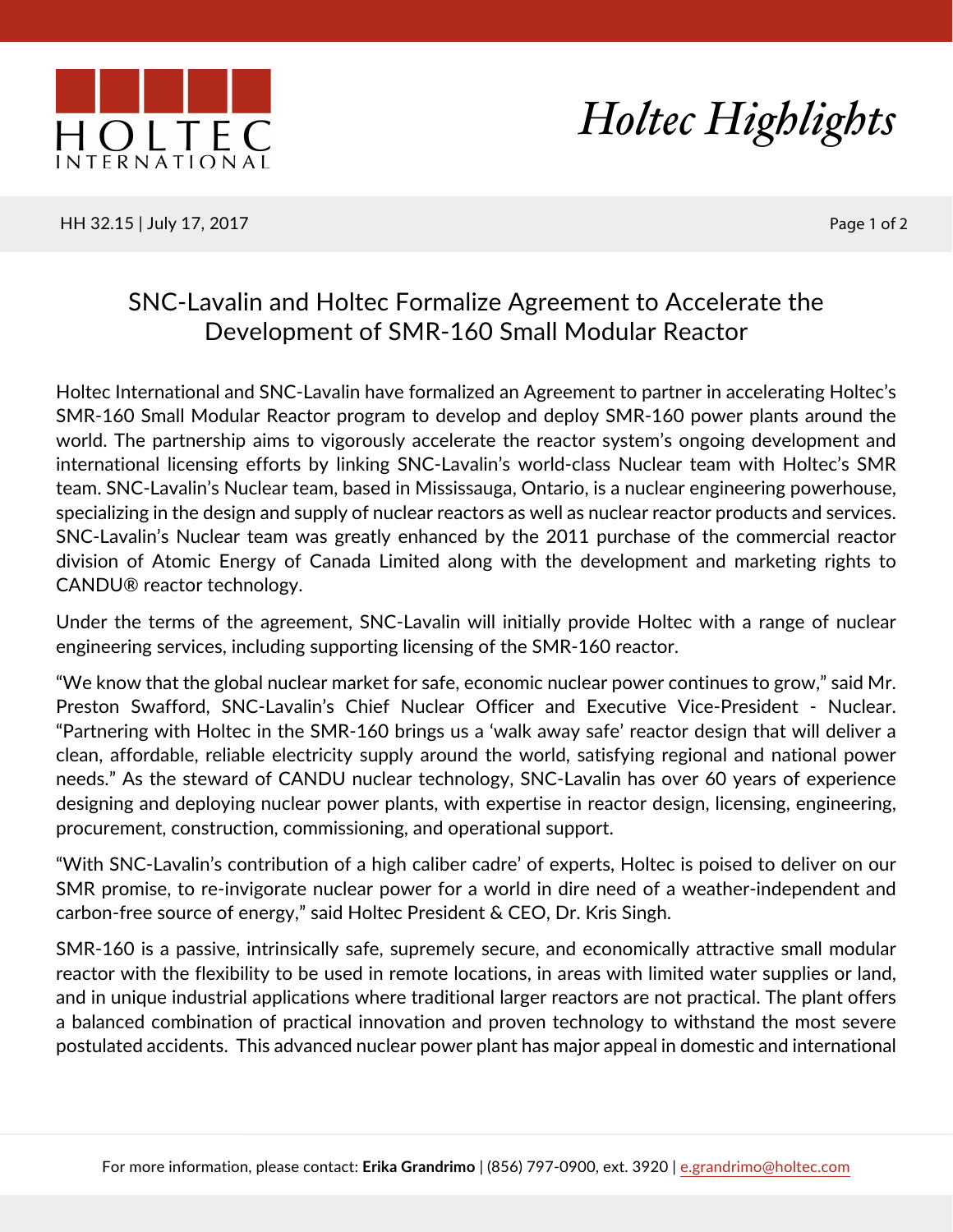



HH 32.15 | July 17, 2017 | 2008 | 2009 | 2009 | 2010 | 2010 | 2010 | 2010 | 2010 | 2010 | 2010 | 2010 | 2010 | 2010 | 2010 | 2010 | 2010 | 2010 | 2010 | 2010 | 2010 | 2010 | 2010 | 2010 | 2010 | 2010 | 2010 | 2010 | 2010 |

## SNC-Lavalin and Holtec Formalize Agreement to Accelerate the Development of SMR-160 Small Modular Reactor

Holtec International and SNC-Lavalin have formalized an Agreement to partner in accelerating Holtec's SMR-160 Small Modular Reactor program to develop and deploy SMR-160 power plants around the world. The partnership aims to vigorously accelerate the reactor system's ongoing development and international licensing efforts by linking SNC-Lavalin's world-class Nuclear team with Holtec's SMR team. SNC-Lavalin's Nuclear team, based in Mississauga, Ontario, is a nuclear engineering powerhouse, specializing in the design and supply of nuclear reactors as well as nuclear reactor products and services. SNC-Lavalin's Nuclear team was greatly enhanced by the 2011 purchase of the commercial reactor division of Atomic Energy of Canada Limited along with the development and marketing rights to CANDU® reactor technology.

Under the terms of the agreement, SNC-Lavalin will initially provide Holtec with a range of nuclear engineering services, including supporting licensing of the SMR-160 reactor.

"We know that the global nuclear market for safe, economic nuclear power continues to grow," said Mr. Preston Swafford, SNC-Lavalin's Chief Nuclear Officer and Executive Vice-President - Nuclear. "Partnering with Holtec in the SMR-160 brings us a 'walk away safe' reactor design that will deliver a clean, affordable, reliable electricity supply around the world, satisfying regional and national power needs." As the steward of CANDU nuclear technology, SNC-Lavalin has over 60 years of experience designing and deploying nuclear power plants, with expertise in reactor design, licensing, engineering, procurement, construction, commissioning, and operational support.

"With SNC-Lavalin's contribution of a high caliber cadre' of experts, Holtec is poised to deliver on our SMR promise, to re-invigorate nuclear power for a world in dire need of a weather-independent and carbon-free source of energy," said Holtec President & CEO, Dr. Kris Singh.

SMR-160 is a passive, intrinsically safe, supremely secure, and economically attractive small modular reactor with the flexibility to be used in remote locations, in areas with limited water supplies or land, and in unique industrial applications where traditional larger reactors are not practical. The plant offers a balanced combination of practical innovation and proven technology to withstand the most severe postulated accidents. This advanced nuclear power plant has major appeal in domestic and international